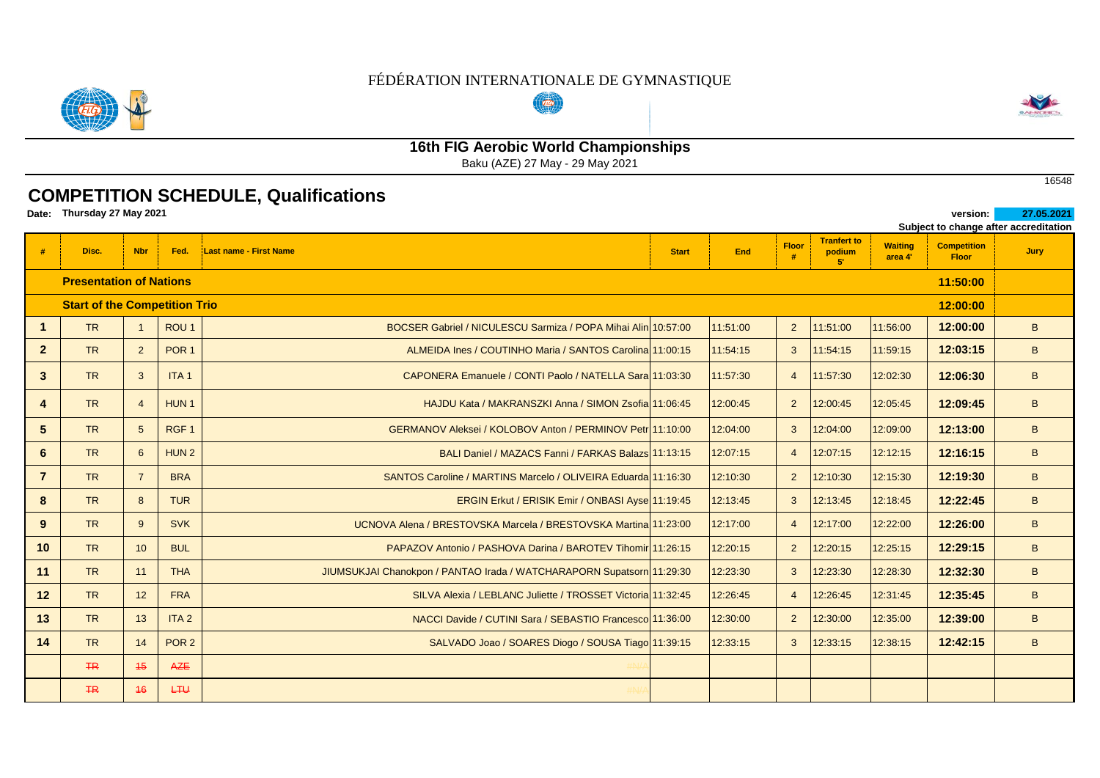#### FÉDÉRATION INTERNATIONALE DE GYMNASTIQUE  $(\overline{(w)})$



# **16th FIG Aerobic World Championships**

Baku (AZE) 27 May - 29 May 2021

## **COMPETITION SCHEDULE, Qualifications**

**Date: version: 27.05.2021 Thursday 27 May 2021** 

| Subject to change after accreditation |                                                  |                 |                  |                                                                       |              |          |                |                                     |                           |                                    |      |  |  |
|---------------------------------------|--------------------------------------------------|-----------------|------------------|-----------------------------------------------------------------------|--------------|----------|----------------|-------------------------------------|---------------------------|------------------------------------|------|--|--|
| #                                     | Disc.                                            | <b>Nbr</b>      | Fed.             | Last name - First Name                                                | <b>Start</b> | End      | <b>Floor</b>   | <b>Tranfert to</b><br>podium<br>51. | <b>Waiting</b><br>area 4' | <b>Competition</b><br><b>Floor</b> | Jury |  |  |
|                                       | <b>Presentation of Nations</b>                   |                 |                  |                                                                       |              |          |                |                                     |                           | 11:50:00                           |      |  |  |
|                                       | <b>Start of the Competition Trio</b><br>12:00:00 |                 |                  |                                                                       |              |          |                |                                     |                           |                                    |      |  |  |
| $\mathbf{1}$                          | <b>TR</b>                                        | $\overline{1}$  | ROU <sub>1</sub> | BOCSER Gabriel / NICULESCU Sarmiza / POPA Mihai Alin 10:57:00         |              | 11:51:00 | $\overline{2}$ | 11:51:00                            | 11:56:00                  | 12:00:00                           | B    |  |  |
| $\overline{2}$                        | <b>TR</b>                                        | $2^{\circ}$     | POR <sub>1</sub> | ALMEIDA Ines / COUTINHO Maria / SANTOS Carolina 11:00:15              |              | 11:54:15 | $\mathbf{3}$   | 11:54:15                            | 11:59:15                  | 12:03:15                           | B    |  |  |
| $\mathbf{3}$                          | <b>TR</b>                                        | 3               | ITA <sub>1</sub> | CAPONERA Emanuele / CONTI Paolo / NATELLA Sara 11:03:30               |              | 11:57:30 | $\overline{4}$ | 11:57:30                            | 12:02:30                  | 12:06:30                           | B    |  |  |
| $\overline{\mathbf{A}}$               | <b>TR</b>                                        | $\overline{4}$  | HUN <sub>1</sub> | HAJDU Kata / MAKRANSZKI Anna / SIMON Zsofia 11:06:45                  |              | 12:00:45 | $\overline{2}$ | 12:00:45                            | 12:05:45                  | 12:09:45                           | B    |  |  |
| 5                                     | <b>TR</b>                                        | 5               | RGF <sub>1</sub> | GERMANOV Aleksei / KOLOBOV Anton / PERMINOV Petr 11:10:00             |              | 12:04:00 | $\mathbf{3}$   | 12:04:00                            | 12:09:00                  | 12:13:00                           | B    |  |  |
| 6                                     | <b>TR</b>                                        | $6\overline{6}$ | HUN <sub>2</sub> | BALI Daniel / MAZACS Fanni / FARKAS Balazs 11:13:15                   |              | 12:07:15 | $\overline{4}$ | 12:07:15                            | 12:12:15                  | 12:16:15                           | B    |  |  |
| $\overline{7}$                        | <b>TR</b>                                        | $\overline{7}$  | <b>BRA</b>       | SANTOS Caroline / MARTINS Marcelo / OLIVEIRA Eduarda 11:16:30         |              | 12:10:30 | $2^{\circ}$    | 12:10:30                            | 12:15:30                  | 12:19:30                           | B    |  |  |
| 8                                     | <b>TR</b>                                        | 8               | <b>TUR</b>       | ERGIN Erkut / ERISIK Emir / ONBASI Ayse 11:19:45                      |              | 12:13:45 | $\mathbf{3}$   | 12:13:45                            | 12:18:45                  | 12:22:45                           | B    |  |  |
| 9                                     | <b>TR</b>                                        | 9               | <b>SVK</b>       | UCNOVA Alena / BRESTOVSKA Marcela / BRESTOVSKA Martina 11:23:00       |              | 12:17:00 | $\overline{4}$ | 12:17:00                            | 12:22:00                  | 12:26:00                           | B    |  |  |
| 10                                    | <b>TR</b>                                        | 10              | <b>BUL</b>       | PAPAZOV Antonio / PASHOVA Darina / BAROTEV Tihomir 11:26:15           |              | 12:20:15 | $2^{\circ}$    | 12:20:15                            | 12:25:15                  | 12:29:15                           | B    |  |  |
| 11                                    | <b>TR</b>                                        | 11              | <b>THA</b>       | JIUMSUKJAI Chanokpon / PANTAO Irada / WATCHARAPORN Supatsorn 11:29:30 |              | 12:23:30 | $\mathbf{3}$   | 12:23:30                            | 12:28:30                  | 12:32:30                           | B    |  |  |
| 12                                    | <b>TR</b>                                        | 12              | <b>FRA</b>       | SILVA Alexia / LEBLANC Juliette / TROSSET Victoria 11:32:45           |              | 12:26:45 | $\overline{4}$ | 12:26:45                            | 12:31:45                  | 12:35:45                           | B    |  |  |
| 13                                    | <b>TR</b>                                        | 13              | ITA <sub>2</sub> | NACCI Davide / CUTINI Sara / SEBASTIO Francesco 11:36:00              |              | 12:30:00 | $\overline{2}$ | 12:30:00                            | 12:35:00                  | 12:39:00                           | B    |  |  |
| 14                                    | <b>TR</b>                                        | 14              | POR <sub>2</sub> | SALVADO Joao / SOARES Diogo / SOUSA Tiago 11:39:15                    |              | 12:33:15 | 3              | 12:33:15                            | 12:38:15                  | 12:42:15                           | B    |  |  |
|                                       | HR                                               | 45              | <b>AZE</b>       |                                                                       |              |          |                |                                     |                           |                                    |      |  |  |
|                                       | HR                                               | 46              | LTU              |                                                                       |              |          |                |                                     |                           |                                    |      |  |  |

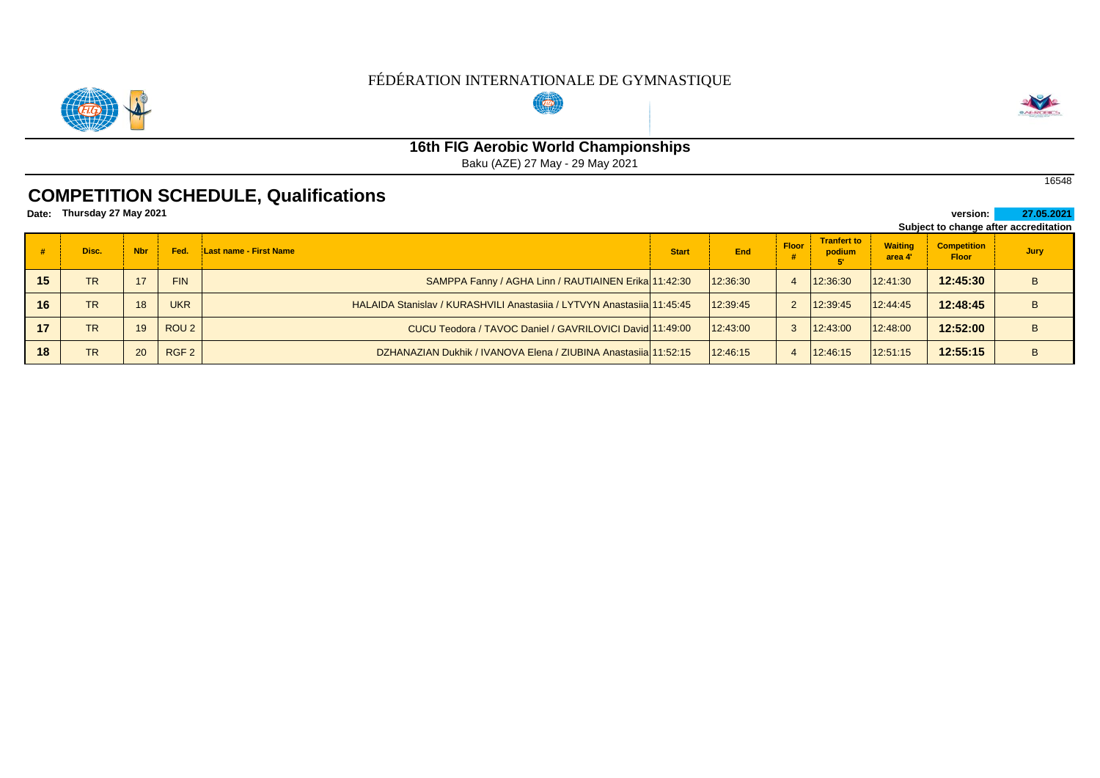

# $(\overline{(w)})$



# **16th FIG Aerobic World Championships**

Baku (AZE) 27 May - 29 May 2021

## **COMPETITION SCHEDULE, Qualifications**

| Date: | Thursday 27 May 2021 |            |                  |                                                                        |              |            |              |                              |                           | version: I                         | 27.05.2021                            |
|-------|----------------------|------------|------------------|------------------------------------------------------------------------|--------------|------------|--------------|------------------------------|---------------------------|------------------------------------|---------------------------------------|
|       |                      |            |                  |                                                                        |              |            |              |                              |                           |                                    | Subject to change after accreditation |
|       | Disc.                | <b>Nbr</b> | Fed.             | Last name - First Name                                                 | <b>Start</b> | <b>End</b> | <b>Floor</b> | <b>Tranfert to</b><br>podium | <b>Waiting</b><br>area 4' | <b>Competition</b><br><b>Floor</b> | Jury                                  |
| 15    | <b>TR</b>            | 17         | <b>FIN</b>       | SAMPPA Fanny / AGHA Linn / RAUTIAINEN Erika 11:42:30                   |              | 12:36:30   |              | 12:36:30                     | 12:41:30                  | 12:45:30                           |                                       |
| 16    | <b>TR</b>            | 18         | <b>UKR</b>       | HALAIDA Stanislav / KURASHVILI Anastasija / LYTVYN Anastasija 11:45:45 |              | 12:39:45   |              | 12:39:45                     | 12:44:45                  | 12:48:45                           |                                       |
| 17    | <b>TR</b>            | 19         | ROU <sub>2</sub> | CUCU Teodora / TAVOC Daniel / GAVRILOVICI David 11:49:00               |              | 12:43:00   |              | 12:43:00                     | 12:48:00                  | 12:52:00                           |                                       |
| 18    | <b>TR</b>            | 20         | RGF <sub>2</sub> | DZHANAZIAN Dukhik / IVANOVA Elena / ZIUBINA Anastasija 11:52:15        |              | 12:46:15   |              | 12:46:15                     | 12:51:15                  | 12:55:15                           | B                                     |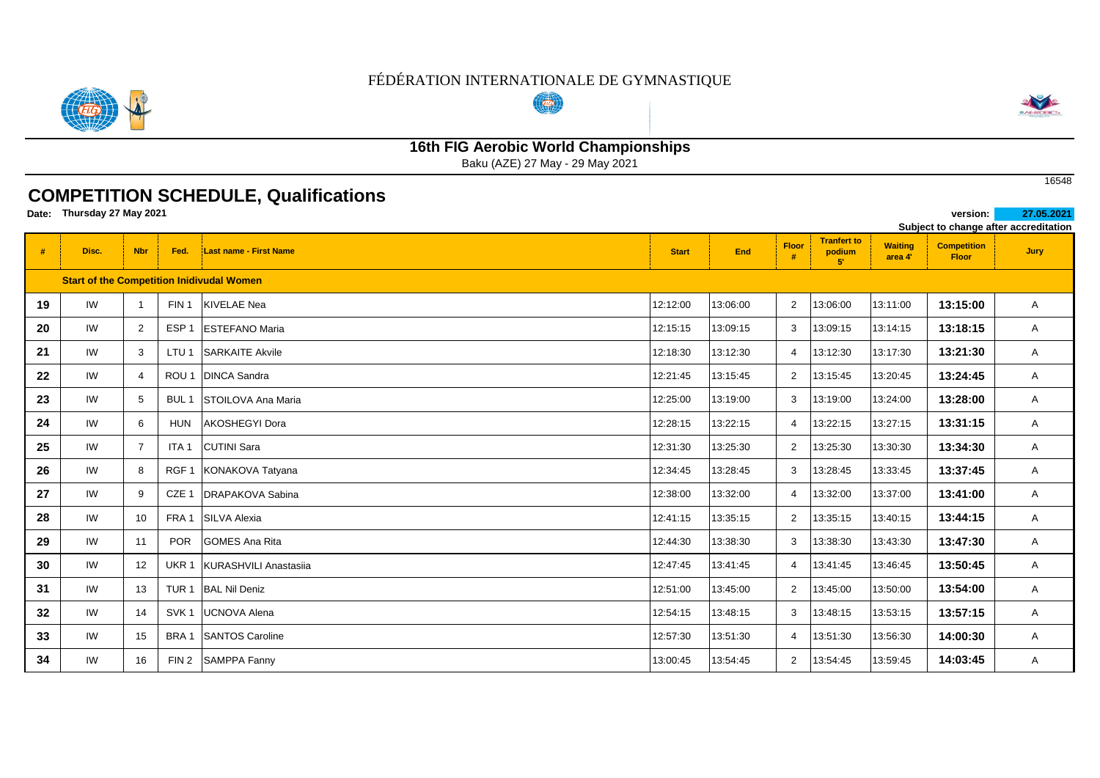#### FÉDÉRATION INTERNATIONALE DE GYMNASTIQUE  $(\overline{a_0})$



# **16th FIG Aerobic World Championships**

Baku (AZE) 27 May - 29 May 2021

## **COMPETITION SCHEDULE, Qualifications**

**Date: version: 27.05.2021 Thursday 27 May 2021** 

|    | Subject to change after accreditation |                |                  |                                                  |              |          |                       |                                             |                           |                                    |              |
|----|---------------------------------------|----------------|------------------|--------------------------------------------------|--------------|----------|-----------------------|---------------------------------------------|---------------------------|------------------------------------|--------------|
| #  | Disc.                                 | <b>Nbr</b>     | Fed.             | <b>Last name - First Name</b>                    | <b>Start</b> | End      | Floor                 | <b>Tranfert to</b><br>podium<br>$5^{\circ}$ | <b>Waiting</b><br>area 4' | <b>Competition</b><br><b>Floor</b> | <b>Jury</b>  |
|    |                                       |                |                  | <b>Start of the Competition Inidivudal Women</b> |              |          |                       |                                             |                           |                                    |              |
| 19 | IW                                    | $\mathbf{1}$   | FIN <sub>1</sub> | KIVELAE Nea                                      | 12:12:00     | 13:06:00 | $\overline{2}$        | 13:06:00                                    | 13:11:00                  | 13:15:00                           | A            |
| 20 | IW                                    | $\overline{2}$ | ESP <sub>1</sub> | <b>ESTEFANO Maria</b>                            | 12:15:15     | 13:09:15 | 3                     | 13:09:15                                    | 13:14:15                  | 13:18:15                           | A            |
| 21 | IW                                    | 3              | LTU <sub>1</sub> | <b>SARKAITE Akvile</b>                           | 12:18:30     | 13:12:30 |                       | 13:12:30                                    | 13:17:30                  | 13:21:30                           | A            |
| 22 | IW                                    | $\overline{4}$ | ROU <sub>1</sub> | <b>DINCA Sandra</b>                              | 12:21:45     | 13:15:45 | $\overline{2}$        | 13:15:45                                    | 13:20:45                  | 13:24:45                           | A            |
| 23 | IW                                    | 5              | BUL <sub>1</sub> | <b>STOILOVA Ana Maria</b>                        | 12:25:00     | 13:19:00 | 3                     | 13:19:00                                    | 13:24:00                  | 13:28:00                           | A            |
| 24 | IW                                    | 6              | <b>HUN</b>       | AKOSHEGYI Dora                                   | 12:28:15     | 13:22:15 | $\boldsymbol{\Delta}$ | 13:22:15                                    | 13:27:15                  | 13:31:15                           | A            |
| 25 | IW                                    | $\overline{7}$ | ITA <sub>1</sub> | <b>CUTINI</b> Sara                               | 12:31:30     | 13:25:30 | 2                     | 13:25:30                                    | 13:30:30                  | 13:34:30                           | $\mathsf{A}$ |
| 26 | IW                                    | 8              | RGF <sub>1</sub> | KONAKOVA Tatyana                                 | 12:34:45     | 13:28:45 | 3                     | 13:28:45                                    | 13:33:45                  | 13:37:45                           | A            |
| 27 | IW                                    | 9              | CZE 1            | <b>DRAPAKOVA Sabina</b>                          | 12:38:00     | 13:32:00 |                       | 13:32:00                                    | 13:37:00                  | 13:41:00                           | A            |
| 28 | IW                                    | 10             |                  | FRA 1 SILVA Alexia                               | 12:41:15     | 13:35:15 | $2^{\circ}$           | 13:35:15                                    | 13:40:15                  | 13:44:15                           | A            |
| 29 | IW                                    | 11             | <b>POR</b>       | <b>GOMES Ana Rita</b>                            | 12:44:30     | 13:38:30 | 3                     | 13:38:30                                    | 13:43:30                  | 13:47:30                           | A            |
| 30 | IW                                    | 12             | UKR 1            | KURASHVILI Anastasiia                            | 12:47:45     | 13:41:45 | 4                     | 13:41:45                                    | 13:46:45                  | 13:50:45                           | $\mathsf{A}$ |
| 31 | IW                                    | 13             | TUR <sub>1</sub> | <b>BAL Nil Deniz</b>                             | 12:51:00     | 13:45:00 | $\overline{2}$        | 13:45:00                                    | 13:50:00                  | 13:54:00                           | $\mathsf{A}$ |
| 32 | IW                                    | 14             | SVK <sub>1</sub> | <b>UCNOVA Alena</b>                              | 12:54:15     | 13:48:15 | 3                     | 13:48:15                                    | 13:53:15                  | 13:57:15                           | $\mathsf{A}$ |
| 33 | IW                                    | 15             | BRA <sub>1</sub> | <b>SANTOS Caroline</b>                           | 12:57:30     | 13:51:30 | $\overline{4}$        | 13:51:30                                    | 13:56:30                  | 14:00:30                           | A            |
| 34 | IW                                    | 16             | FIN <sub>2</sub> | <b>SAMPPA Fanny</b>                              | 13:00:45     | 13:54:45 | $\overline{2}$        | 13:54:45                                    | 13:59:45                  | 14:03:45                           | A            |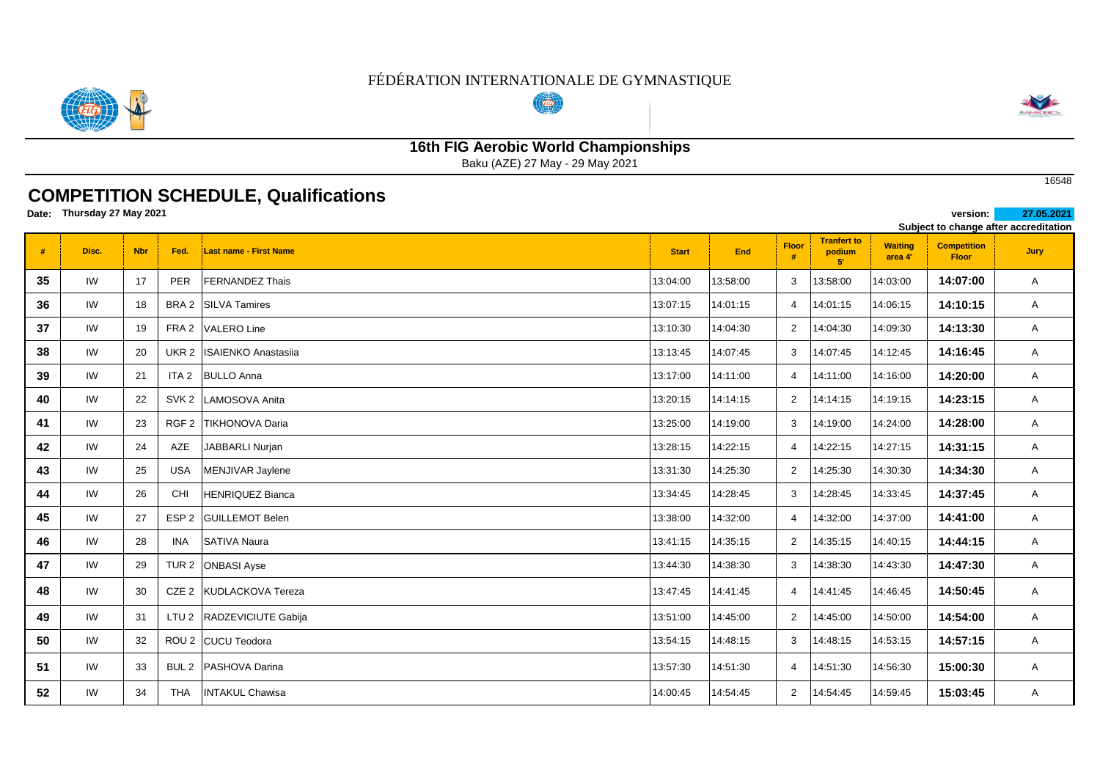#### FÉDÉRATION INTERNATIONALE DE GYMNASTIQUE  $(\overline{(w)})$



# **16th FIG Aerobic World Championships**

Baku (AZE) 27 May - 29 May 2021

## **COMPETITION SCHEDULE, Qualifications**

**Date: version: 27.05.2021 Thursday 27 May 2021** 

|    |       |            |                  |                            |              |            |                |                                             |                           |                                    | Subject to change after accreditation |
|----|-------|------------|------------------|----------------------------|--------------|------------|----------------|---------------------------------------------|---------------------------|------------------------------------|---------------------------------------|
| #  | Disc. | <b>Nbr</b> | Fed.             | Last name - First Name     | <b>Start</b> | <b>End</b> | Floor<br>#     | <b>Tranfert to</b><br>podium<br>$5^{\circ}$ | <b>Waiting</b><br>area 4' | <b>Competition</b><br><b>Floor</b> | <b>Jury</b>                           |
| 35 | IW    | 17         | <b>PER</b>       | <b>FERNANDEZ Thais</b>     | 13:04:00     | 13:58:00   | 3              | 13:58:00                                    | 14:03:00                  | 14:07:00                           | $\mathsf{A}$                          |
| 36 | IW    | 18         | BRA 2            | <b>SILVA Tamires</b>       | 13:07:15     | 14:01:15   | $\overline{4}$ | 14:01:15                                    | 14:06:15                  | 14:10:15                           | $\mathsf{A}$                          |
| 37 | IW    | 19         | FRA 2            | <b>VALERO Line</b>         | 13:10:30     | 14:04:30   | 2              | 14:04:30                                    | 14:09:30                  | 14:13:30                           | A                                     |
| 38 | IW    | 20         | UKR <sub>2</sub> | <b>ISAIENKO Anastasiia</b> | 13:13:45     | 14:07:45   | 3              | 14:07:45                                    | 14:12:45                  | 14:16:45                           | $\mathsf{A}$                          |
| 39 | IW    | 21         | ITA <sub>2</sub> | <b>BULLO Anna</b>          | 13:17:00     | 14:11:00   | $\overline{4}$ | 14:11:00                                    | 14:16:00                  | 14:20:00                           | $\mathsf{A}$                          |
| 40 | IW    | 22         | SVK <sub>2</sub> | LAMOSOVA Anita             | 13:20:15     | 14:14:15   | 2              | 14:14:15                                    | 14:19:15                  | 14:23:15                           | A                                     |
| 41 | IW    | 23         | RGF <sub>2</sub> | <b>TIKHONOVA Daria</b>     | 13:25:00     | 14:19:00   | 3              | 14:19:00                                    | 14:24:00                  | 14:28:00                           | A                                     |
| 42 | IW    | 24         | AZE              | JABBARLI Nurjan            | 13:28:15     | 14:22:15   | $\overline{4}$ | 14:22:15                                    | 14:27:15                  | 14:31:15                           | $\mathsf{A}$                          |
| 43 | IW    | 25         | USA              | MENJIVAR Jaylene           | 13:31:30     | 14:25:30   | 2              | 14:25:30                                    | 14:30:30                  | 14:34:30                           | A                                     |
| 44 | IW    | 26         | <b>CHI</b>       | <b>HENRIQUEZ Bianca</b>    | 13:34:45     | 14:28:45   | 3              | 14:28:45                                    | 14:33:45                  | 14:37:45                           | $\mathsf{A}$                          |
| 45 | IW    | 27         | ESP <sub>2</sub> | <b>GUILLEMOT Belen</b>     | 13:38:00     | 14:32:00   | $\overline{4}$ | 14:32:00                                    | 14:37:00                  | 14:41:00                           | $\mathsf{A}$                          |
| 46 | IW    | 28         | INA              | <b>SATIVA Naura</b>        | 13:41:15     | 14:35:15   | 2              | 14:35:15                                    | 14:40:15                  | 14:44:15                           | A                                     |
| 47 | IW    | 29         | TUR <sub>2</sub> | <b>ONBASI Ayse</b>         | 13:44:30     | 14:38:30   | 3              | 14:38:30                                    | 14:43:30                  | 14:47:30                           | $\mathsf{A}$                          |
| 48 | IW    | 30         |                  | CZE 2 KUDLACKOVA Tereza    | 13:47:45     | 14:41:45   | $\overline{4}$ | 14:41:45                                    | 14:46:45                  | 14:50:45                           | $\mathsf{A}$                          |
| 49 | IW    | 31         | LTU <sub>2</sub> | RADZEVICIUTE Gabija        | 13:51:00     | 14:45:00   | $\overline{2}$ | 14:45:00                                    | 14:50:00                  | 14:54:00                           | A                                     |
| 50 | IW    | 32         |                  | ROU 2 CUCU Teodora         | 13:54:15     | 14:48:15   | 3              | 14:48:15                                    | 14:53:15                  | 14:57:15                           | $\mathsf{A}$                          |
| 51 | IW    | 33         |                  | BUL 2   PASHOVA Darina     | 13:57:30     | 14:51:30   | $\overline{4}$ | 14:51:30                                    | 14:56:30                  | 15:00:30                           | $\mathsf{A}$                          |
| 52 | IW    | 34         | <b>THA</b>       | <b>INTAKUL Chawisa</b>     | 14:00:45     | 14:54:45   | $\overline{2}$ | 14:54:45                                    | 14:59:45                  | 15:03:45                           | A                                     |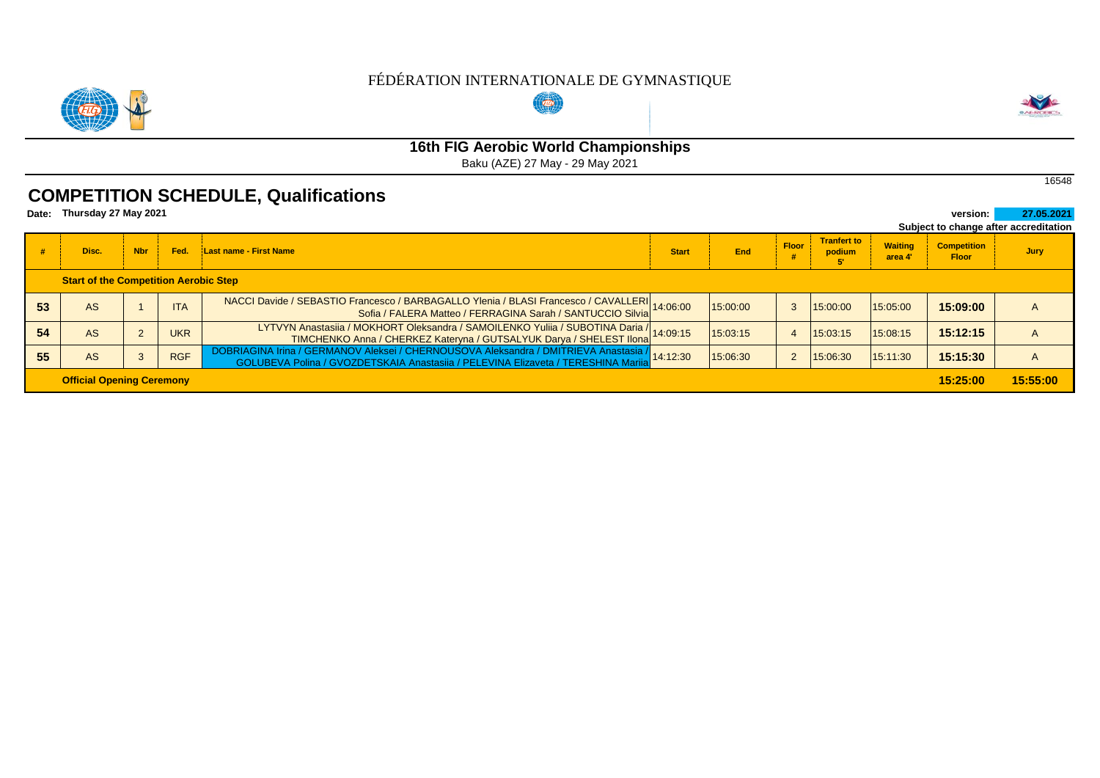#### FÉDÉRATION INTERNATIONALE DE GYMNASTIQUE  $(\overline{(w)})$



## **16th FIG Aerobic World Championships**

Baku (AZE) 27 May - 29 May 2021

### **COMPETITION SCHEDULE, Qualifications**

| Thursday 27 May 2021<br>Date:                |                                  |            |            |                                                                                                                                                                                    |              |          |              |                              |                           | version:                           | 27.05.2021                            |
|----------------------------------------------|----------------------------------|------------|------------|------------------------------------------------------------------------------------------------------------------------------------------------------------------------------------|--------------|----------|--------------|------------------------------|---------------------------|------------------------------------|---------------------------------------|
|                                              |                                  |            |            |                                                                                                                                                                                    |              |          |              |                              |                           |                                    | Subject to change after accreditation |
|                                              | Disc.                            | <b>Nbr</b> | Fed.       | <b>Last name - First Name</b>                                                                                                                                                      | <b>Start</b> | End      | <b>Floor</b> | <b>Tranfert to</b><br>podium | <b>Waiting</b><br>area 4' | <b>Competition</b><br><b>Floor</b> | Jury                                  |
| <b>Start of the Competition Aerobic Step</b> |                                  |            |            |                                                                                                                                                                                    |              |          |              |                              |                           |                                    |                                       |
| 53                                           | AS                               |            | <b>ITA</b> | NACCI Davide / SEBASTIO Francesco / BARBAGALLO Ylenia / BLASI Francesco / CAVALLERI 14:06:00<br>Sofia / FALERA Matteo / FERRAGINA Sarah / SANTUCCIO Silvia 14:06:00                |              | 15:00:00 |              | 15:00:00                     | 15:05:00                  | 15:09:00                           |                                       |
| 54                                           | AS                               |            | <b>UKR</b> | LYTVYN Anastasiia / MOKHORT Oleksandra / SAMOILENKO Yuliia / SUBOTINA Daria / 14:09:15<br>TIMCHENKO Anna / CHERKEZ Kateryna / GUTSALYUK Darya / SHELEST Ilona                      |              | 15:03:15 |              | 15:03:15                     | 15:08:15                  | 15:12:15                           |                                       |
| 55                                           | AS                               |            | <b>RGF</b> | DOBRIAGINA Irina / GERMANOV Aleksei / CHERNOUSOVA Aleksandra / DMITRIEVA Anastasia / 14:12:30<br>GOLUBEVA Polina / GVOZDETSKAJA Anastasija / PELEVINA Elizaveta / TERESHINA Marija |              | 15:06:30 |              | 15:06:30                     | 15:11:30                  | 15:15:30                           | A                                     |
|                                              | <b>Official Opening Ceremony</b> |            |            |                                                                                                                                                                                    |              |          |              |                              |                           | 15:25:00                           | 15:55:00                              |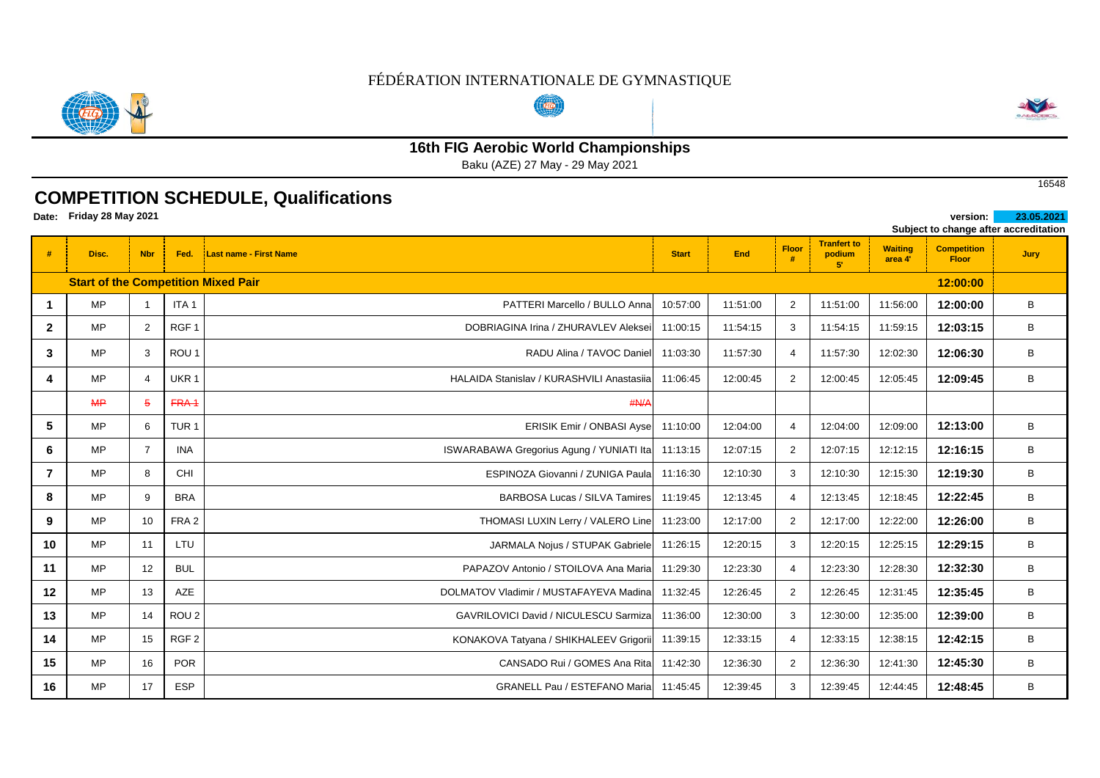

## **16th FIG Aerobic World Championships**

Baku (AZE) 27 May - 29 May 2021

## **COMPETITION SCHEDULE, Qualifications**

**Date: version: 23.05.2021 Friday 28 May 2021** 

|              |                                            |                |                  |                                              |              |          |                |                                             |                           |                                    | Subject to change after accreditation |
|--------------|--------------------------------------------|----------------|------------------|----------------------------------------------|--------------|----------|----------------|---------------------------------------------|---------------------------|------------------------------------|---------------------------------------|
|              | Disc.                                      | <b>Nbr</b>     | Fed.             | <b>Last name - First Name</b>                | <b>Start</b> | End      | Floor<br>#     | <b>Tranfert to</b><br>podium<br>$5^{\circ}$ | <b>Waiting</b><br>area 4' | <b>Competition</b><br><b>Floor</b> | <b>Jury</b>                           |
|              | <b>Start of the Competition Mixed Pair</b> |                |                  |                                              |              |          |                |                                             |                           | 12:00:00                           |                                       |
| 1            | <b>MP</b>                                  | $\overline{1}$ | ITA <sub>1</sub> | PATTERI Marcello / BULLO Anna                | 10:57:00     | 11:51:00 | 2              | 11:51:00                                    | 11:56:00                  | 12:00:00                           | В                                     |
| $\mathbf{2}$ | <b>MP</b>                                  | 2              | RGF <sub>1</sub> | DOBRIAGINA Irina / ZHURAVLEV Aleksei         | 11:00:15     | 11:54:15 | 3              | 11:54:15                                    | 11:59:15                  | 12:03:15                           | В                                     |
| 3            | MP                                         | 3              | ROU <sub>1</sub> | RADU Alina / TAVOC Daniel                    | 11:03:30     | 11:57:30 | 4              | 11:57:30                                    | 12:02:30                  | 12:06:30                           | В                                     |
| 4            | <b>MP</b>                                  | $\overline{4}$ | UKR <sub>1</sub> | HALAIDA Stanislav / KURASHVILI Anastasija    | 11:06:45     | 12:00:45 | 2              | 12:00:45                                    | 12:05:45                  | 12:09:45                           | В                                     |
|              | MP                                         | $\overline{5}$ | FRA <sub>1</sub> | H N/A                                        |              |          |                |                                             |                           |                                    |                                       |
| 5            | <b>MP</b>                                  | 6              | TUR <sub>1</sub> | <b>ERISIK Emir / ONBASI Ayse</b>             | 11:10:00     | 12:04:00 | $\overline{4}$ | 12:04:00                                    | 12:09:00                  | 12:13:00                           | В                                     |
| 6            | <b>MP</b>                                  | $\overline{7}$ | <b>INA</b>       | ISWARABAWA Gregorius Agung / YUNIATI Ita     | 11:13:15     | 12:07:15 | 2              | 12:07:15                                    | 12:12:15                  | 12:16:15                           | В                                     |
|              | MP                                         | 8              | <b>CHI</b>       | ESPINOZA Giovanni / ZUNIGA Paula             | 11:16:30     | 12:10:30 | 3              | 12:10:30                                    | 12:15:30                  | 12:19:30                           | В                                     |
| 8            | <b>MP</b>                                  | 9              | <b>BRA</b>       | <b>BARBOSA Lucas / SILVA Tamires</b>         | 11:19:45     | 12:13:45 | $\overline{4}$ | 12:13:45                                    | 12:18:45                  | 12:22:45                           | В                                     |
| 9            | <b>MP</b>                                  | 10             | FRA <sub>2</sub> | THOMASI LUXIN Lerry / VALERO Line 11:23:00   |              | 12:17:00 | 2              | 12:17:00                                    | 12:22:00                  | 12:26:00                           | B                                     |
| 10           | MP                                         | 11             | <b>LTU</b>       | JARMALA Nojus / STUPAK Gabriele              | 11:26:15     | 12:20:15 | 3              | 12:20:15                                    | 12:25:15                  | 12:29:15                           | B                                     |
| 11           | <b>MP</b>                                  | 12             | <b>BUL</b>       | PAPAZOV Antonio / STOILOVA Ana Maria         | 11:29:30     | 12:23:30 | $\overline{4}$ | 12:23:30                                    | 12:28:30                  | 12:32:30                           | В                                     |
| 12           | MP                                         | 13             | AZE              | DOLMATOV Vladimir / MUSTAFAYEVA Madina       | 11:32:45     | 12:26:45 | $\overline{2}$ | 12:26:45                                    | 12:31:45                  | 12:35:45                           | В                                     |
| 13           | <b>MP</b>                                  | 14             | ROU <sub>2</sub> | <b>GAVRILOVICI David / NICULESCU Sarmiza</b> | 11:36:00     | 12:30:00 | 3              | 12:30:00                                    | 12:35:00                  | 12:39:00                           | В                                     |
| 14           | MP.                                        | 15             | RGF <sub>2</sub> | KONAKOVA Tatyana / SHIKHALEEV Grigorii       | 11:39:15     | 12:33:15 | $\overline{4}$ | 12:33:15                                    | 12:38:15                  | 12:42:15                           | В                                     |
| 15           | MP                                         | 16             | <b>POR</b>       | CANSADO Rui / GOMES Ana Rita                 | 11:42:30     | 12:36:30 | 2              | 12:36:30                                    | 12:41:30                  | 12:45:30                           | В                                     |
| 16           | MP                                         | 17             | <b>ESP</b>       | <b>GRANELL Pau / ESTEFANO Maria</b>          | 11:45:45     | 12:39:45 | 3              | 12:39:45                                    | 12:44:45                  | 12:48:45                           | В                                     |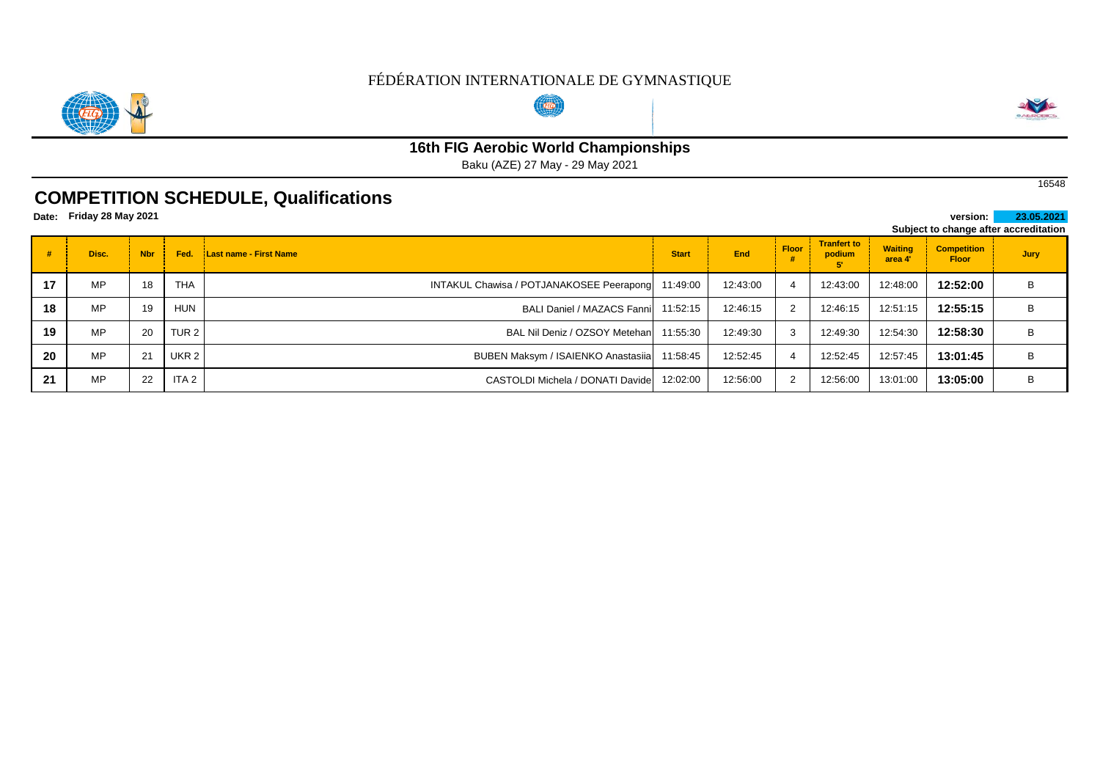

# **Com**



# **16th FIG Aerobic World Championships**

Baku (AZE) 27 May - 29 May 2021

## **COMPETITION SCHEDULE, Qualifications**

**Friday 28 May 2021** 

|    | Date: Friday 28 May 2021<br>23.05.2021<br>version: I |            |                  |                                          |              |          |              |                              |                           |                                    |                                       |  |
|----|------------------------------------------------------|------------|------------------|------------------------------------------|--------------|----------|--------------|------------------------------|---------------------------|------------------------------------|---------------------------------------|--|
|    |                                                      |            |                  |                                          |              |          |              |                              |                           |                                    | Subject to change after accreditation |  |
|    | Disc.                                                | <b>Nbr</b> | Fed.             | <b>Last name - First Name</b>            | <b>Start</b> | End      | <b>Floor</b> | <b>Tranfert to</b><br>podium | <b>Waiting</b><br>area 4' | <b>Competition</b><br><b>Floor</b> | Jury                                  |  |
| 17 | MP                                                   | 18         | THA              | INTAKUL Chawisa / POTJANAKOSEE Peerapong | 11:49:00     | 12:43:00 |              | 12:43:00                     | 12:48:00                  | 12:52:00                           | B                                     |  |
| 18 | MP                                                   | 19         | <b>HUN</b>       | BALI Daniel / MAZACS Fannil 11:52:15     |              | 12:46:15 | 2            | 12:46:15                     | 12:51:15                  | 12:55:15                           | B                                     |  |
| 19 | MP                                                   | 20         | TUR <sub>2</sub> | BAL Nil Deniz / OZSOY Metehan            | 11:55:30     | 12:49:30 | 3            | 12:49:30                     | 12:54:30                  | 12:58:30                           | B                                     |  |
| 20 | MP                                                   | 21         | UKR 2            | BUBEN Maksym / ISAIENKO Anastasija       | 11:58:45     | 12:52:45 | 4            | 12:52:45                     | 12:57:45                  | 13:01:45                           | B                                     |  |
| 21 | <b>MP</b>                                            | 22         | ITA <sub>2</sub> | CASTOLDI Michela / DONATI Davide         | 12:02:00     | 12:56:00 | 2            | 12:56:00                     | 13:01:00                  | 13:05:00                           | B                                     |  |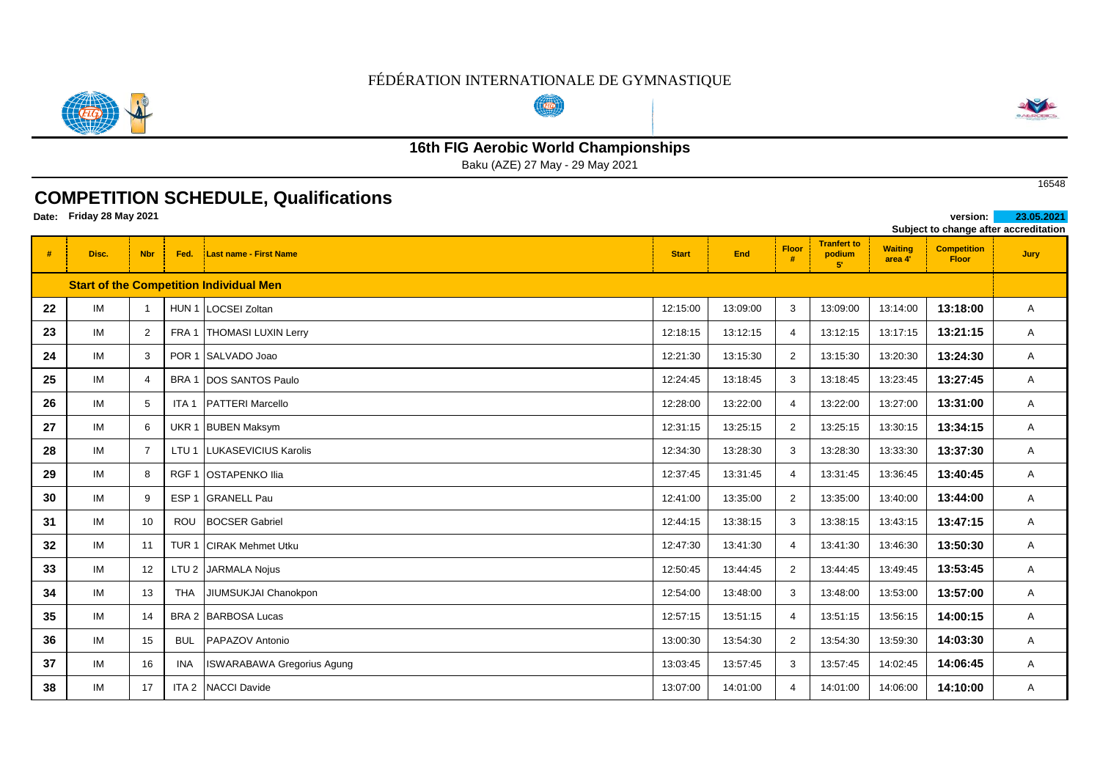

# **16th FIG Aerobic World Championships**

Baku (AZE) 27 May - 29 May 2021

## **COMPETITION SCHEDULE, Qualifications**

**Date: version: 23.05.2021 Friday 28 May 2021** 

| Subject to change after accreditation |                |                  |                                   |                                                                                                                                                                                                                    |          |                   |                                    |                           |                                    |      |
|---------------------------------------|----------------|------------------|-----------------------------------|--------------------------------------------------------------------------------------------------------------------------------------------------------------------------------------------------------------------|----------|-------------------|------------------------------------|---------------------------|------------------------------------|------|
| Disc.                                 | <b>Nbr</b>     | Fed.             | <b>Last name - First Name</b>     | <b>Start</b>                                                                                                                                                                                                       | End      | <b>Floor</b><br>丑 | <b>Tranfert to</b><br>podium<br>51 | <b>Waiting</b><br>area 4' | <b>Competition</b><br><b>Floor</b> | Jury |
|                                       |                |                  |                                   |                                                                                                                                                                                                                    |          |                   |                                    |                           |                                    |      |
| IM                                    | $\overline{1}$ | HUN <sub>1</sub> |                                   | 12:15:00                                                                                                                                                                                                           | 13:09:00 | 3                 | 13:09:00                           | 13:14:00                  | 13:18:00                           | A    |
| IM                                    | $\overline{2}$ | FRA 1            |                                   | 12:18:15                                                                                                                                                                                                           | 13:12:15 | $\overline{4}$    | 13:12:15                           | 13:17:15                  | 13:21:15                           | A    |
| IM                                    | 3              | POR <sub>1</sub> |                                   | 12:21:30                                                                                                                                                                                                           | 13:15:30 | $\overline{2}$    | 13:15:30                           | 13:20:30                  | 13:24:30                           | A    |
| IM                                    | $\overline{4}$ | BRA 1            | <b>DOS SANTOS Paulo</b>           | 12:24:45                                                                                                                                                                                                           | 13:18:45 | 3                 | 13:18:45                           | 13:23:45                  | 13:27:45                           | A    |
| IM                                    | 5              | ITA <sub>1</sub> | <b>PATTERI Marcello</b>           | 12:28:00                                                                                                                                                                                                           | 13:22:00 | $\overline{4}$    | 13:22:00                           | 13:27:00                  | 13:31:00                           | A    |
| IM                                    | 6              | UKR <sub>1</sub> |                                   | 12:31:15                                                                                                                                                                                                           | 13:25:15 | $\overline{2}$    | 13:25:15                           | 13:30:15                  | 13:34:15                           | A    |
| IM                                    | $\overline{7}$ | LTU <sub>1</sub> | LUKASEVICIUS Karolis              | 12:34:30                                                                                                                                                                                                           | 13:28:30 | 3                 | 13:28:30                           | 13:33:30                  | 13:37:30                           | Α    |
| IM                                    | 8              | RGF <sub>1</sub> |                                   | 12:37:45                                                                                                                                                                                                           | 13:31:45 | 4                 | 13:31:45                           | 13:36:45                  | 13:40:45                           | A    |
| IM                                    | 9              | ESP <sub>1</sub> | <b>GRANELL Pau</b>                | 12:41:00                                                                                                                                                                                                           | 13:35:00 | $\overline{2}$    | 13:35:00                           | 13:40:00                  | 13:44:00                           | A    |
| IM                                    | 10             | <b>ROU</b>       | <b>BOCSER Gabriel</b>             | 12:44:15                                                                                                                                                                                                           | 13:38:15 | 3                 | 13:38:15                           | 13:43:15                  | 13:47:15                           | A    |
| IM                                    | 11             | TUR <sub>1</sub> | <b>CIRAK Mehmet Utku</b>          | 12:47:30                                                                                                                                                                                                           | 13:41:30 | $\overline{4}$    | 13:41:30                           | 13:46:30                  | 13:50:30                           | A    |
| IM                                    | 12             |                  |                                   | 12:50:45                                                                                                                                                                                                           | 13:44:45 | $\overline{2}$    | 13:44:45                           | 13:49:45                  | 13:53:45                           | A    |
| IM                                    | 13             | <b>THA</b>       | JIUMSUKJAI Chanokpon              | 12:54:00                                                                                                                                                                                                           | 13:48:00 | 3                 | 13:48:00                           | 13:53:00                  | 13:57:00                           | Α    |
| IM                                    | 14             |                  |                                   | 12:57:15                                                                                                                                                                                                           | 13:51:15 | $\overline{4}$    | 13:51:15                           | 13:56:15                  | 14:00:15                           | A    |
| IM                                    | 15             | <b>BUL</b>       | PAPAZOV Antonio                   | 13:00:30                                                                                                                                                                                                           | 13:54:30 | $\overline{2}$    | 13:54:30                           | 13:59:30                  | 14:03:30                           | A    |
| IM                                    | 16             | <b>INA</b>       | <b>ISWARABAWA Gregorius Agung</b> | 13:03:45                                                                                                                                                                                                           | 13:57:45 | 3                 | 13:57:45                           | 14:02:45                  | 14:06:45                           | Α    |
| IM                                    | 17             | ITA <sub>2</sub> | NACCI Davide                      | 13:07:00                                                                                                                                                                                                           | 14:01:00 | $\overline{4}$    | 14:01:00                           | 14:06:00                  | 14:10:00                           | Α    |
|                                       |                |                  |                                   | <b>Start of the Competition Individual Men</b><br><b>LOCSEI Zoltan</b><br><b>THOMASI LUXIN Lerry</b><br>SALVADO Joao<br><b>BUBEN Maksym</b><br><b>OSTAPENKO Ilia</b><br>LTU 2 JARMALA Nojus<br>BRA 2 BARBOSA Lucas |          |                   |                                    |                           |                                    |      |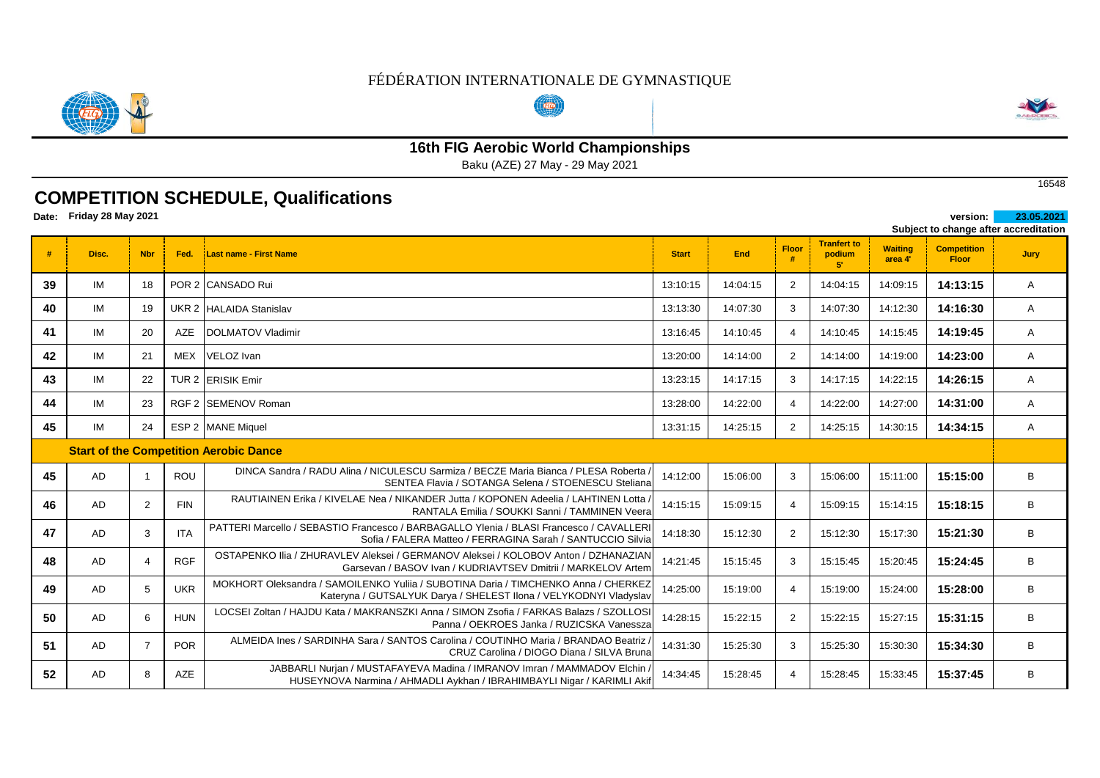

# **16th FIG Aerobic World Championships**

Baku (AZE) 27 May - 29 May 2021

## **COMPETITION SCHEDULE, Qualifications**

**Date: version: 23.05.2021 Friday 28 May 2021** 

|    |       |                |            |                                                                                                                                                         |              |          |                   |                                    |                           |                                    | Subject to change after accreditation |
|----|-------|----------------|------------|---------------------------------------------------------------------------------------------------------------------------------------------------------|--------------|----------|-------------------|------------------------------------|---------------------------|------------------------------------|---------------------------------------|
|    | Disc. | <b>Nbr</b>     | Fed.       | Last name - First Name                                                                                                                                  | <b>Start</b> | End      | <b>Floor</b><br># | <b>Tranfert to</b><br>podium<br>51 | <b>Waiting</b><br>area 4' | <b>Competition</b><br><b>Floor</b> | Jury                                  |
| 39 | IM    | 18             |            | POR 2 CANSADO Rui                                                                                                                                       | 13:10:15     | 14:04:15 | 2                 | 14:04:15                           | 14:09:15                  | 14:13:15                           | A                                     |
| 40 | IM    | 19             |            | UKR 2 HALAIDA Stanislav                                                                                                                                 | 13:13:30     | 14:07:30 | 3                 | 14:07:30                           | 14:12:30                  | 14:16:30                           | Α                                     |
| 41 | IM    | 20             | <b>AZE</b> | <b>DOLMATOV Vladimir</b>                                                                                                                                | 13:16:45     | 14:10:45 | 4                 | 14:10:45                           | 14:15:45                  | 14:19:45                           | Α                                     |
| 42 | IM    | 21             | <b>MEX</b> | VELOZ Ivan                                                                                                                                              | 13:20:00     | 14:14:00 | 2                 | 14:14:00                           | 14:19:00                  | 14:23:00                           | A                                     |
| 43 | IM    | 22             |            | TUR 2 ERISIK Emir                                                                                                                                       | 13:23:15     | 14:17:15 | 3                 | 14:17:15                           | 14:22:15                  | 14:26:15                           | Α                                     |
| 44 | IM    | 23             |            | RGF 2 SEMENOV Roman                                                                                                                                     | 13:28:00     | 14:22:00 | $\overline{4}$    | 14:22:00                           | 14:27:00                  | 14:31:00                           | Α                                     |
| 45 | IM    | 24             |            | ESP 2 MANE Miquel                                                                                                                                       | 13:31:15     | 14:25:15 | 2                 | 14:25:15                           | 14:30:15                  | 14:34:15                           | Α                                     |
|    |       |                |            | <b>Start of the Competition Aerobic Dance</b>                                                                                                           |              |          |                   |                                    |                           |                                    |                                       |
| 45 | AD    | - 1            | <b>ROU</b> | DINCA Sandra / RADU Alina / NICULESCU Sarmiza / BECZE Maria Bianca / PLESA Roberta /<br>SENTEA Flavia / SOTANGA Selena / STOENESCU Steliana             | 14:12:00     | 15:06:00 | 3                 | 15:06:00                           | 15:11:00                  | 15:15:00                           | B                                     |
| 46 | AD    | $\overline{2}$ | <b>FIN</b> | RAUTIAINEN Erika / KIVELAE Nea / NIKANDER Jutta / KOPONEN Adeelia / LAHTINEN Lotta /<br>RANTALA Emilia / SOUKKI Sanni / TAMMINEN Veera                  | 14:15:15     | 15:09:15 | 4                 | 15:09:15                           | 15:14:15                  | 15:18:15                           | B                                     |
| 47 | AD    | 3              | <b>ITA</b> | PATTERI Marcello / SEBASTIO Francesco / BARBAGALLO Ylenia / BLASI Francesco / CAVALLERI<br>Sofia / FALERA Matteo / FERRAGINA Sarah / SANTUCCIO Silvia   | 14:18:30     | 15:12:30 | 2                 | 15:12:30                           | 15:17:30                  | 15:21:30                           | B                                     |
| 48 | AD    | $\overline{4}$ | <b>RGF</b> | OSTAPENKO Ilia / ZHURAVLEV Aleksei / GERMANOV Aleksei / KOLOBOV Anton / DZHANAZIAN<br>Garsevan / BASOV Ivan / KUDRIAVTSEV Dmitrii / MARKELOV Artem      | 14:21:45     | 15:15:45 | 3                 | 15:15:45                           | 15:20:45                  | 15:24:45                           | B                                     |
| 49 | AD    | 5              | <b>UKR</b> | MOKHORT Oleksandra / SAMOILENKO Yulija / SUBOTINA Daria / TIMCHENKO Anna / CHERKEZ<br>Kateryna / GUTSALYUK Darya / SHELEST Ilona / VELYKODNYI Vladyslav | 14:25:00     | 15:19:00 | $\overline{4}$    | 15:19:00                           | 15:24:00                  | 15:28:00                           | B                                     |
| 50 | AD    | 6              | <b>HUN</b> | LOCSEI Zoltan / HAJDU Kata / MAKRANSZKI Anna / SIMON Zsofia / FARKAS Balazs / SZOLLOSI<br>Panna / OEKROES Janka / RUZICSKA Vanessza                     | 14:28:15     | 15:22:15 | $\overline{2}$    | 15:22:15                           | 15:27:15                  | 15:31:15                           | B                                     |
| 51 | AD    | $\overline{7}$ | <b>POR</b> | ALMEIDA Ines / SARDINHA Sara / SANTOS Carolina / COUTINHO Maria / BRANDAO Beatriz /<br>CRUZ Carolina / DIOGO Diana / SILVA Bruna                        | 14:31:30     | 15:25:30 | 3                 | 15:25:30                           | 15:30:30                  | 15:34:30                           | B                                     |
| 52 | AD    | 8              | AZE        | JABBARLI Nurjan / MUSTAFAYEVA Madina / IMRANOV Imran / MAMMADOV Elchin<br>HUSEYNOVA Narmina / AHMADLI Aykhan / IBRAHIMBAYLI Nigar / KARIMLI Akif        | 14:34:45     | 15:28:45 | $\overline{4}$    | 15:28:45                           | 15:33:45                  | 15:37:45                           | B                                     |